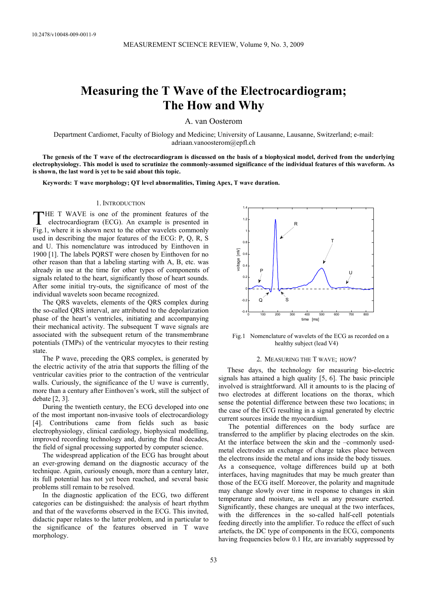# **Measuring the T Wave of the Electrocardiogram; The How and Why**

A. van Oosterom

Department Cardiomet, Faculty of Biology and Medicine; University of Lausanne, Lausanne, Switzerland; e-mail: adriaan.vanoosterom@epfl.ch

**The genesis of the T wave of the electrocardiogram is discussed on the basis of a biophysical model, derived from the underlying electrophysiology. This model is used to scrutinize the commonly-assumed significance of the individual features of this waveform. As is shown, the last word is yet to be said about this topic.**

**Keywords: T wave morphology; QT level abnormalities, Timing Apex, T wave duration.** 

#### 1. INTRODUCTION

 HE T WAVE is one of the prominent features of the electrocardiogram (ECG). An example is presented in THE T WAVE is one of the prominent features of the electrocardiogram (ECG). An example is presented in Fig.1, where it is shown next to the other wavelets commonly used in describing the major features of the ECG: P, Q, R, S and U. This nomenclature was introduced by Einthoven in 1900 [1]. The labels PQRST were chosen by Einthoven for no other reason than that a labeling starting with A, B, etc. was already in use at the time for other types of components of signals related to the heart, significantly those of heart sounds. After some initial try-outs, the significance of most of the individual wavelets soon became recognized.

The QRS wavelets, elements of the QRS complex during the so-called QRS interval, are attributed to the depolarization phase of the heart's ventricles, initiating and accompanying their mechanical activity. The subsequent T wave signals are associated with the subsequent return of the transmembrane potentials (TMPs) of the ventricular myocytes to their resting state.

The P wave, preceding the QRS complex, is generated by the electric activity of the atria that supports the filling of the ventricular cavities prior to the contraction of the ventricular walls. Curiously, the significance of the U wave is currently, more than a century after Einthoven's work, still the subject of debate [2, 3].

During the twentieth century, the ECG developed into one of the most important non-invasive tools of electrocardiology [4]. Contributions came from fields such as basic electrophysiology, clinical cardiology, biophysical modelling, improved recording technology and, during the final decades, the field of signal processing supported by computer science.

The widespread application of the ECG has brought about an ever-growing demand on the diagnostic accuracy of the technique. Again, curiously enough, more than a century later, its full potential has not yet been reached, and several basic problems still remain to be resolved.

In the diagnostic application of the ECG, two different categories can be distinguished: the analysis of heart rhythm and that of the waveforms observed in the ECG. This invited, didactic paper relates to the latter problem, and in particular to the significance of the features observed in T wave morphology.



Fig.1 Nomenclature of wavelets of the ECG as recorded on a healthy subject (lead V4)

#### 2. MEASURING THE T WAVE; HOW?

 These days, the technology for measuring bio-electric signals has attained a high quality [5, 6]. The basic principle involved is straightforward. All it amounts to is the placing of two electrodes at different locations on the thorax, which sense the potential difference between these two locations; in the case of the ECG resulting in a signal generated by electric current sources inside the myocardium.

The potential differences on the body surface are transferred to the amplifier by placing electrodes on the skin. At the interface between the skin and the –commonly usedmetal electrodes an exchange of charge takes place between the electrons inside the metal and ions inside the body tissues. As a consequence, voltage differences build up at both interfaces, having magnitudes that may be much greater than those of the ECG itself. Moreover, the polarity and magnitude may change slowly over time in response to changes in skin temperature and moisture, as well as any pressure exerted. Significantly, these changes are unequal at the two interfaces, with the differences in the so-called half-cell potentials feeding directly into the amplifier. To reduce the effect of such artefacts, the DC type of components in the ECG, components having frequencies below 0.1 Hz, are invariably suppressed by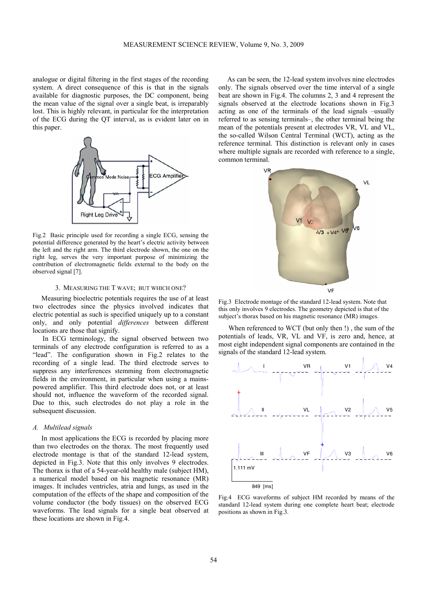analogue or digital filtering in the first stages of the recording system. A direct consequence of this is that in the signals available for diagnostic purposes, the DC component, being the mean value of the signal over a single beat, is irreparably lost. This is highly relevant, in particular for the interpretation of the ECG during the QT interval, as is evident later on in this paper.



Fig.2 Basic principle used for recording a single ECG, sensing the potential difference generated by the heart's electric activity between the left and the right arm. The third electrode shown, the one on the right leg, serves the very important purpose of minimizing the contribution of electromagnetic fields external to the body on the observed signal [7].

# 3. MEASURING THE T WAVE; BUT WHICH ONE?

 Measuring bioelectric potentials requires the use of at least two electrodes since the physics involved indicates that electric potential as such is specified uniquely up to a constant only, and only potential *differences* between different locations are those that signify.

In ECG terminology, the signal observed between two terminals of any electrode configuration is referred to as a "lead". The configuration shown in Fig.2 relates to the recording of a single lead. The third electrode serves to suppress any interferences stemming from electromagnetic fields in the environment, in particular when using a mainspowered amplifier. This third electrode does not, or at least should not, influence the waveform of the recorded signal. Due to this, such electrodes do not play a role in the subsequent discussion.

# *A. Multilead signals*

 In most applications the ECG is recorded by placing more than two electrodes on the thorax. The most frequently used electrode montage is that of the standard 12-lead system, depicted in Fig.3. Note that this only involves 9 electrodes. The thorax is that of a 54-year-old healthy male (subject HM), a numerical model based on his magnetic resonance (MR) images. It includes ventricles, atria and lungs, as used in the computation of the effects of the shape and composition of the volume conductor (the body tissues) on the observed ECG waveforms. The lead signals for a single beat observed at these locations are shown in Fig.4.

 As can be seen, the 12-lead system involves nine electrodes only. The signals observed over the time interval of a single beat are shown in Fig.4. The columns 2, 3 and 4 represent the signals observed at the electrode locations shown in Fig.3 acting as one of the terminals of the lead signals –usually referred to as sensing terminals–, the other terminal being the mean of the potentials present at electrodes VR, VL and VL, the so-called Wilson Central Terminal (WCT), acting as the reference terminal. This distinction is relevant only in cases where multiple signals are recorded with reference to a single, common terminal.



Fig.3 Electrode montage of the standard 12-lead system. Note that this only involves 9 electrodes. The geometry depicted is that of the subject's thorax based on his magnetic resonance (MR) images.

When referenced to WCT (but only then !) , the sum of the potentials of leads, VR, VL and VF, is zero and, hence, at most eight independent signal components are contained in the signals of the standard 12-lead system.



Fig.4 ECG waveforms of subject HM recorded by means of the standard 12-lead system during one complete heart beat; electrode positions as shown in Fig.3.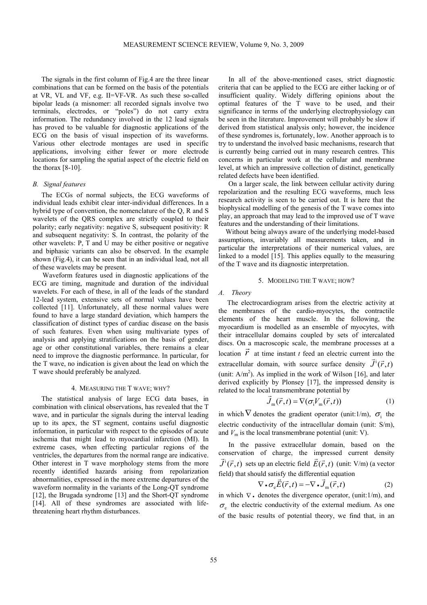The signals in the first column of Fig.4 are the three linear combinations that can be formed on the basis of the potentials at VR, VL and VF, e.g. II=VF-VR. As such these so-called bipolar leads (a misnomer: all recorded signals involve two terminals, electrodes, or "poles") do not carry extra information. The redundancy involved in the 12 lead signals has proved to be valuable for diagnostic applications of the ECG on the basis of visual inspection of its waveforms. Various other electrode montages are used in specific applications, involving either fewer or more electrode locations for sampling the spatial aspect of the electric field on the thorax  $[8-10]$ .

# *B. Signal features*

 The ECGs of normal subjects, the ECG waveforms of individual leads exhibit clear inter-individual differences. In a hybrid type of convention, the nomenclature of the Q, R and S wavelets of the QRS complex are strictly coupled to their polarity; early negativity: negative S, subsequent positivity: R and subsequent negativity: S. In contrast, the polarity of the other wavelets: P, T and U may be either positive or negative and biphasic variants can also be observed. In the example shown (Fig.4), it can be seen that in an individual lead, not all of these wavelets may be present.

Waveform features used in diagnostic applications of the ECG are timing, magnitude and duration of the individual wavelets. For each of these, in all of the leads of the standard 12-lead system, extensive sets of normal values have been collected [11]. Unfortunately, all these normal values were found to have a large standard deviation, which hampers the classification of distinct types of cardiac disease on the basis of such features. Even when using multivariate types of analysis and applying stratifications on the basis of gender, age or other constitutional variables, there remains a clear need to improve the diagnostic performance. In particular, for the T wave, no indication is given about the lead on which the T wave should preferably be analyzed.

### 4. MEASURING THE T WAVE; WHY?

 The statistical analysis of large ECG data bases, in combination with clinical observations, has revealed that the T wave, and in particular the signals during the interval leading up to its apex, the ST segment, contains useful diagnostic information, in particular with respect to the episodes of acute ischemia that might lead to myocardial infarction (MI). In extreme cases, when effecting particular regions of the ventricles, the departures from the normal range are indicative. Other interest in T wave morphology stems from the more recently identified hazards arising from repolarization abnormalities, expressed in the more extreme departures of the waveform normality in the variants of the Long-QT syndrome [12], the Brugada syndrome [13] and the Short-QT syndrome [14]. All of these syndromes are associated with lifethreatening heart rhythm disturbances.

In all of the above-mentioned cases, strict diagnostic criteria that can be applied to the ECG are either lacking or of insufficient quality. Widely differing opinions about the optimal features of the T wave to be used, and their significance in terms of the underlying electrophysiology can be seen in the literature. Improvement will probably be slow if derived from statistical analysis only; however, the incidence of these syndromes is, fortunately, low. Another approach is to try to understand the involved basic mechanisms, research that is currently being carried out in many research centres. This concerns in particular work at the cellular and membrane level, at which an impressive collection of distinct, genetically related defects have been identified.

On a larger scale, the link between cellular activity during repolarization and the resulting ECG waveforms, much less research activity is seen to be carried out. It is here that the biophysical modelling of the genesis of the T wave comes into play, an approach that may lead to the improved use of T wave features and the understanding of their limitations.

Without being always aware of the underlying model-based assumptions, invariably all measurements taken, and in particular the interpretations of their numerical values, are linked to a model [15]. This applies equally to the measuring of the T wave and its diagnostic interpretation.

# 5. MODELING THE T WAVE; HOW?

# *A. Theory*

 The electrocardiogram arises from the electric activity at the membranes of the cardio-myocytes, the contractile elements of the heart muscle. In the following, the myocardium is modelled as an ensemble of myocytes, with their intracellular domains coupled by sets of intercalated discs. On a macroscopic scale, the membrane processes at a location  $\vec{r}$  at time instant *t* feed an electric current into the extracellular domain, with source surface density  $\vec{J}^1(\vec{r},t)$ (unit:  $A/m<sup>2</sup>$ ). As implied in the work of Wilson [16], and later derived explicitly by Plonsey [17], the impressed density is related to the local transmembrane potential by

$$
\vec{J}_{\text{m}}(\vec{r},t) = \nabla(\sigma_{i}V_{\text{m}}(\vec{r},t)) \tag{1}
$$

in which  $\nabla$  denotes the gradient operator (unit:1/m),  $\sigma_i$  the electric conductivity of the intracellular domain (unit: S/m), and  $V_m$  is the local transmembrane potential (unit: V).

In the passive extracellular domain, based on the conservation of charge, the impressed current density  $\vec{J}^i(\vec{r},t)$  sets up an electric field  $\vec{E}(\vec{r},t)$  (unit: V/m) (a vector field) that should satisfy the differential equation

$$
\nabla \cdot \sigma_e \vec{E}(\vec{r}, t) = -\nabla \cdot \vec{J}_m(\vec{r}, t)
$$
 (2)

in which  $\nabla$ . denotes the divergence operator, (unit:1/m), and  $\sigma_{\rm e}$  the electric conductivity of the external medium. As one of the basic results of potential theory, we find that, in an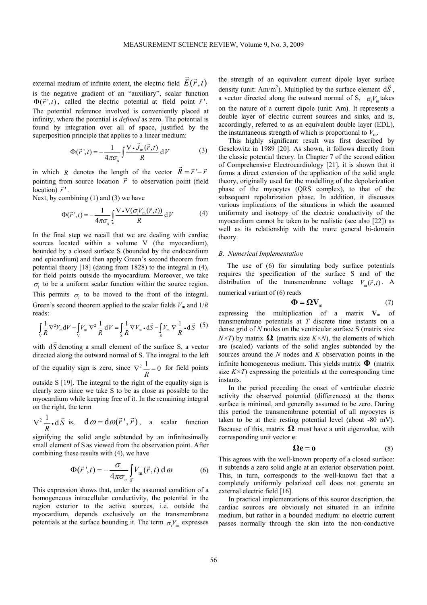external medium of infinite extent, the electric field  $\vec{E}(\vec{r},t)$ is the negative gradient of an "auxiliary", scalar function  $\Phi(\vec{r}',t)$ , called the electric potential at field point  $\vec{r}'$ . The potential reference involved is conveniently placed at infinity, where the potential is *defined* as zero. The potential is found by integration over all of space, justified by the superposition principle that applies to a linear medium:

$$
\Phi(\vec{r}\,';t) = -\frac{1}{4\pi\sigma_{\rm e}} \int \frac{\nabla \cdot \vec{J}_{\rm m}(\vec{r},t)}{R} \, \mathrm{d}V \tag{3}
$$

in which *R* denotes the length of the vector  $\vec{R} = \vec{r} - \vec{r}$ pointing from source location  $\vec{r}$  to observation point (field  $\frac{1}{r}$  .

Next, by combining (1) and (3) we have

$$
\Phi(\vec{r}\,',t) = -\frac{1}{4\pi\sigma_{\rm e}} \int_{V} \frac{\nabla \cdot \nabla(\sigma_{\rm i}V_{\rm m}(\vec{r},t))}{R} \, \mathrm{d}\, V \tag{4}
$$

In the final step we recall that we are dealing with cardiac sources located within a volume V (the myocardium), bounded by a closed surface S (bounded by the endocardium and epicardium) and then apply Green's second theorem from potential theory [18] (dating from 1828) to the integral in (4), for field points outside the myocardium. Moreover, we take  $\sigma_i$  to be a uniform scalar function within the source region. This permits  $\sigma_i$  to be moved to the front of the integral. Green's second theorem applied to the scalar fields  $V_m$  and  $1/R$ reads:

$$
\int_{\mathcal{V}} \frac{1}{R} \nabla^2 V_{\mathbf{m}} \mathrm{d}V - \int_{\mathcal{V}} V_{\mathbf{m}} \nabla^2 \frac{1}{R} \mathrm{d}V = \int_{\mathcal{S}} \frac{1}{R} \nabla V_{\mathbf{m}} \cdot \mathrm{d}\vec{S} - \int_{\mathcal{S}} V_{\mathbf{m}} \nabla \frac{1}{R} \cdot \mathrm{d}\vec{S} \quad (5)
$$

with  $d\vec{S}$  denoting a small element of the surface S, a vector directed along the outward normal of S. The integral to the left of the equality sign is zero, since  $\nabla^2 \frac{1}{\sigma} = 0$ *R*  $\nabla^2 \frac{1}{n} = 0$  for field points outside S [19]. The integral to the right of the equality sign is clearly zero since we take S to be as close as possible to the myocardium while keeping free of it. In the remaining integral on the right, the term

$$
\nabla^2 \frac{1}{R} \cdot d\vec{S} \text{ is, } d\omega = d\omega(\vec{r}', \vec{r}), \text{ a scalar function}
$$

signifying the solid angle subtended by an infinitesimally small element of S as viewed from the observation point. After combining these results with (4), we have

$$
\Phi(\vec{r}\,',t) = -\frac{\sigma_i}{4\pi\sigma_e} \int_S V_m(\vec{r},t) \,d\omega \tag{6}
$$

This expression shows that, under the assumed condition of a homogeneous intracellular conductivity, the potential in the region exterior to the active sources, i.e. outside the myocardium, depends exclusively on the transmembrane potentials at the surface bounding it. The term  $\sigma V_m$  expresses

the strength of an equivalent current dipole layer surface density (unit:  $Am/m^2$ ). Multiplied by the surface element  $d\vec{S}$ , a vector directed along the outward normal of S,  $\sigma V$  takes on the nature of a current dipole (unit: Am). It represents a double layer of electric current sources and sinks, and is, accordingly, referred to as an equivalent double layer (EDL), the instantaneous strength of which is proportional to  $V_{\text{m}}$ .

This highly significant result was first described by Geselowitz in 1989 [20]. As shown, it follows directly from the classic potential theory. In Chapter 7 of the second edition of Comprehensive Electrocardiology [21], it is shown that it forms a direct extension of the application of the solid angle theory, originally used for the modelling of the depolarization phase of the myocytes (QRS complex), to that of the subsequent repolarization phase. In addition, it discusses various implications of the situations in which the assumed uniformity and isotropy of the electric conductivity of the myocardium cannot be taken to be realistic (see also [22]) as well as its relationship with the more general bi-domain theory.

#### *B. Numerical Implementation*

 The use of (6) for simulating body surface potentials requires the specification of the surface S and of the distribution of the transmembrane voltage  $V_m(\vec{r},t)$ . A numerical variant of (6) reads

$$
\mathbf{\Phi} = \mathbf{\Omega} \mathbf{V}_{\text{m}} \tag{7}
$$

expressing the multiplication of a matrix  $V_m$  of transmembrane potentials at *T* discrete time instants on a dense grid of *N* nodes on the ventricular surface S (matrix size  $N\times T$  by matrix  $\Omega$  (matrix size  $K\times N$ ), the elements of which are (scaled) variants of the solid angles subtended by the sources around the *N* nodes and *K* observation points in the infinite homogeneous medium. This yields matrix **Φ** (matrix size  $K \times T$ ) expressing the potentials at the corresponding time instants.

In the period preceding the onset of ventricular electric activity the observed potential (differences) at the thorax surface is minimal, and generally assumed to be zero. During this period the transmembrane potential of all myocytes is taken to be at their resting potential level (about -80 mV). Because of this, matrix  $\Omega$  must have a unit eigenvalue, with corresponding unit vector **e**:

$$
\Omega \mathbf{e} = \mathbf{0} \tag{8}
$$

This agrees with the well-known property of a closed surface: it subtends a zero solid angle at an exterior observation point. This, in turn, corresponds to the well-known fact that a completely uniformly polarized cell does not generate an external electric field [16].

In practical implementations of this source description, the cardiac sources are obviously not situated in an infinite medium, but rather in a bounded medium: no electric current passes normally through the skin into the non-conductive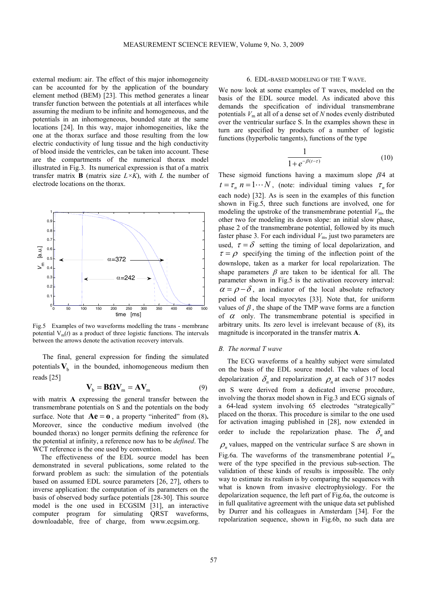external medium: air. The effect of this major inhomogeneity can be accounted for by the application of the boundary element method (BEM) [23]. This method generates a linear transfer function between the potentials at all interfaces while assuming the medium to be infinite and homogeneous, and the potentials in an inhomogeneous, bounded state at the same locations [24]. In this way, major inhomogeneities, like the one at the thorax surface and those resulting from the low electric conductivity of lung tissue and the high conductivity of blood inside the ventricles, can be taken into account. These are the compartments of the numerical thorax model illustrated in Fig.3. Its numerical expression is that of a matrix transfer matrix **B** (matrix size  $L \times K$ ), with *L* the number of electrode locations on the thorax.



Fig.5 Examples of two waveforms modelling the trans - membrane potential  $V_m(t)$  as a product of three logistic functions. The intervals between the arrows denote the activation recovery intervals.

The final, general expression for finding the simulated potentials  $V_b$  in the bounded, inhomogeneous medium then reads [25]

$$
\mathbf{V}_{b} = \mathbf{B}\Omega \mathbf{V}_{m} = \mathbf{A}\mathbf{V}_{m} \tag{9}
$$

with matrix **A** expressing the general transfer between the transmembrane potentials on S and the potentials on the body surface. Note that  $Ae = 0$ , a property "inherited" from (8). Moreover, since the conductive medium involved (the bounded thorax) no longer permits defining the reference for the potential at infinity, a reference now has to be *defined*. The WCT reference is the one used by convention.

The effectiveness of the EDL source model has been demonstrated in several publications, some related to the forward problem as such: the simulation of the potentials based on assumed EDL source parameters [26, 27], others to inverse application: the computation of its parameters on the basis of observed body surface potentials [28-30]. This source model is the one used in ECGSIM [31], an interactive computer program for simulating QRST waveforms, downloadable, free of charge, from www.ecgsim.org.

# 6. EDL-BASED MODELING OF THE T WAVE.

We now look at some examples of T waves, modeled on the basis of the EDL source model. As indicated above this demands the specification of individual transmembrane potentials *V*m at all of a dense set of *N* nodes evenly distributed over the ventricular surface S. In the examples shown these in turn are specified by products of a number of logistic functions (hyperbolic tangents), functions of the type

$$
\frac{1}{1 + e^{-\beta(t-\tau)}}\tag{10}
$$

These sigmoid functions having a maximum slope  $\beta$ /4 at  $t = \tau_n$   $n = 1 \cdots N$ , (note: individual timing values  $\tau_n$  for each node) [32]. As is seen in the examples of this function shown in Fig.5, three such functions are involved, one for modeling the upstroke of the transmembrane potential  $V_{\text{m}}$ , the other two for modeling its down slope: an initial slow phase, phase 2 of the transmembrane potential, followed by its much faster phase 3. For each individual  $V<sub>m</sub>$ , just two parameters are used,  $\tau = \delta$  setting the timing of local depolarization, and  $\tau = \rho$  specifying the timing of the inflection point of the downslope, taken as a marker for local repolarization. The shape parameters  $\beta$  are taken to be identical for all. The parameter shown in Fig.5 is the activation recovery interval:  $\alpha = \rho - \delta$ , an indicator of the local absolute refractory period of the local myocytes [33]. Note that, for uniform values of  $\beta$ , the shape of the TMP wave forms are a function of  $\alpha$  only. The transmembrane potential is specified in arbitrary units. Its zero level is irrelevant because of (8), its magnitude is incorporated in the transfer matrix **A**.

#### *B. The normal T wave*

 The ECG waveforms of a healthy subject were simulated on the basis of the EDL source model. The values of local depolarization  $\delta_n$  and repolarization  $\rho_n$  at each of 317 nodes on S were derived from a dedicated inverse procedure, involving the thorax model shown in Fig.3 and ECG signals of a 64-lead system involving 65 electrodes "strategically" placed on the thorax. This procedure is similar to the one used for activation imaging published in [28], now extended in order to include the repolarization phase. The  $\delta_n$  and  $\rho_n$  values, mapped on the ventricular surface S are shown in Fig.6a. The waveforms of the transmembrane potential  $V<sub>m</sub>$ were of the type specified in the previous sub-section. The validation of these kinds of results is impossible. The only

way to estimate its realism is by comparing the sequences with what is known from invasive electrophysiology. For the depolarization sequence, the left part of Fig.6a, the outcome is in full qualitative agreement with the unique data set published by Durrer and his colleagues in Amsterdam [34]. For the repolarization sequence, shown in Fig.6b, no such data are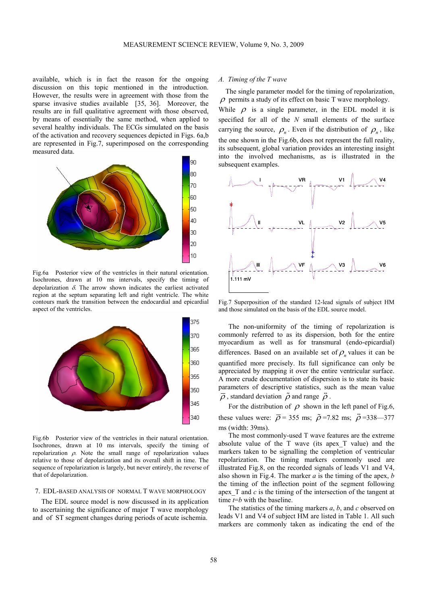available, which is in fact the reason for the ongoing discussion on this topic mentioned in the introduction. However, the results were in agreement with those from the sparse invasive studies available [35, 36]. Moreover, the results are in full qualitative agreement with those observed, by means of essentially the same method, when applied to several healthy individuals. The ECGs simulated on the basis of the activation and recovery sequences depicted in Figs. 6a,b are represented in Fig.7, superimposed on the corresponding measured data.



Fig.6a Posterior view of the ventricles in their natural orientation. Isochrones, drawn at 10 ms intervals, specify the timing of depolarization  $\delta$ . The arrow shown indicates the earliest activated region at the septum separating left and right ventricle. The white contours mark the transition between the endocardial and epicardial aspect of the ventricles.



Fig.6b Posterior view of the ventricles in their natural orientation. Isochrones, drawn at 10 ms intervals, specify the timing of repolarization ρ. Note the small range of repolarization values relative to those of depolarization and its overall shift in time. The sequence of repolarization is largely, but never entirely, the reverse of that of depolarization.

# 7. EDL-BASED ANALYSIS OF NORMAL T WAVE MORPHOLOGY

 The EDL source model is now discussed in its application to ascertaining the significance of major T wave morphology and of ST segment changes during periods of acute ischemia.

# *A. Timing of the T wave*

 The single parameter model for the timing of repolarization,  $\rho$  permits a study of its effect on basic T wave morphology. While  $\rho$  is a single parameter, in the EDL model it is specified for all of the *N* small elements of the surface carrying the source,  $\rho_n$ . Even if the distribution of  $\rho_n$ , like the one shown in the Fig.6b, does not represent the full reality, its subsequent, global variation provides an interesting insight into the involved mechanisms, as is illustrated in the subsequent examples.



Fig.7 Superposition of the standard 12-lead signals of subject HM and those simulated on the basis of the EDL source model.

The non-uniformity of the timing of repolarization is commonly referred to as its dispersion, both for the entire myocardium as well as for transmural (endo-epicardial) differences. Based on an available set of  $\rho_n$  values it can be quantified more precisely. Its full significance can only be appreciated by mapping it over the entire ventricular surface. A more crude documentation of dispersion is to state its basic parameters of descriptive statistics, such as the mean value  $\overline{\rho}$ , standard deviation  $\overline{\rho}$  and range  $\overline{\rho}$ .

For the distribution of  $\rho$  shown in the left panel of Fig.6, these values were:  $\overline{\rho}$  = 355 ms;  $\overline{\rho}$  = 7.82 ms;  $\overline{\rho}$  = 338-377 ms (width: 39ms).

The most commonly-used T wave features are the extreme absolute value of the T wave (its apex\_T value) and the markers taken to be signalling the completion of ventricular repolarization. The timing markers commonly used are illustrated Fig.8, on the recorded signals of leads V1 and V4, also shown in Fig.4. The marker *a* is the timing of the apex, *b* the timing of the inflection point of the segment following apex\_T and *c* is the timing of the intersection of the tangent at time  $t=b$  with the baseline.

The statistics of the timing markers *a*, *b*, and *c* observed on leads V1 and V4 of subject HM are listed in Table 1. All such markers are commonly taken as indicating the end of the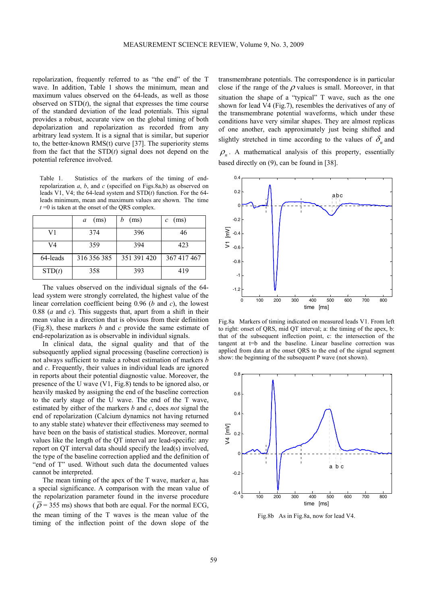repolarization, frequently referred to as "the end" of the T wave. In addition, Table 1 shows the minimum, mean and maximum values observed on the 64-leads, as well as those observed on  $STD(t)$ , the signal that expresses the time course of the standard deviation of the lead potentials. This signal provides a robust, accurate view on the global timing of both depolarization and repolarization as recorded from any arbitrary lead system. It is a signal that is similar, but superior to, the better-known RMS(t) curve [37]. The superiority stems from the fact that the STD(*t*) signal does not depend on the potential reference involved.

Table 1. Statistics of the markers of the timing of endrepolarization *a*, *b*, and *c* (specified on Figs.8a,b) as observed on leads V1, V4; the 64-lead system and STD(*t*) function. For the 64 leads minimum, mean and maximum values are shown. The time  $t = 0$  is taken at the onset of the QRS complex.

|          | (ms)<br>a   | (ms)        | (ms)<br>C   |
|----------|-------------|-------------|-------------|
| V1       | 374         | 396         | 46          |
| V4       | 359         | 394         | 423         |
| 64-leads | 316 356 385 | 351 391 420 | 367 417 467 |
| STD(t)   | 358         | 393         | 419         |

The values observed on the individual signals of the 64 lead system were strongly correlated, the highest value of the linear correlation coefficient being 0.96 (*b* and *c*), the lowest 0.88 (*a* and *c*). This suggests that, apart from a shift in their mean value in a direction that is obvious from their definition (Fig.8), these markers *b* and *c* provide the same estimate of end-repolarization as is observable in individual signals.

In clinical data, the signal quality and that of the subsequently applied signal processing (baseline correction) is not always sufficient to make a robust estimation of markers *b* and *c*. Frequently, their values in individual leads are ignored in reports about their potential diagnostic value. Moreover, the presence of the U wave (V1, Fig.8) tends to be ignored also, or heavily masked by assigning the end of the baseline correction to the early stage of the U wave. The end of the T wave, estimated by either of the markers *b* and *c*, does *not* signal the end of repolarization (Calcium dynamics not having returned to any stable state) whatever their effectiveness may seemed to have been on the basis of statistical studies. Moreover, normal values like the length of the QT interval are lead-specific: any report on QT interval data should specify the lead(s) involved, the type of the baseline correction applied and the definition of "end of T" used. Without such data the documented values cannot be interpreted.

The mean timing of the apex of the T wave, marker *a*, has a special significance. A comparison with the mean value of the repolarization parameter found in the inverse procedure  $(\overline{\rho} = 355 \text{ ms})$  shows that both are equal. For the normal ECG, the mean timing of the T waves is the mean value of the timing of the inflection point of the down slope of the

transmembrane potentials. The correspondence is in particular close if the range of the  $\rho$  values is small. Moreover, in that situation the shape of a "typical" T wave, such as the one shown for lead V4 (Fig.7), resembles the derivatives of any of the transmembrane potential waveforms, which under these conditions have very similar shapes. They are almost replicas of one another, each approximately just being shifted and slightly stretched in time according to the values of  $\delta_n$  and

 $\rho_n$ . A mathematical analysis of this property, essentially based directly on (9), can be found in [38].



Fig.8a Markers of timing indicated on measured leads V1. From left to right: onset of QRS, mid QT interval; a: the timing of the apex, b: that of the subsequent inflection point, c: the intersection of the tangent at t=b and the baseline. Linear baseline correction was applied from data at the onset QRS to the end of the signal segment show: the beginning of the subsequent P wave (not shown).



Fig.8b As in Fig.8a, now for lead V4.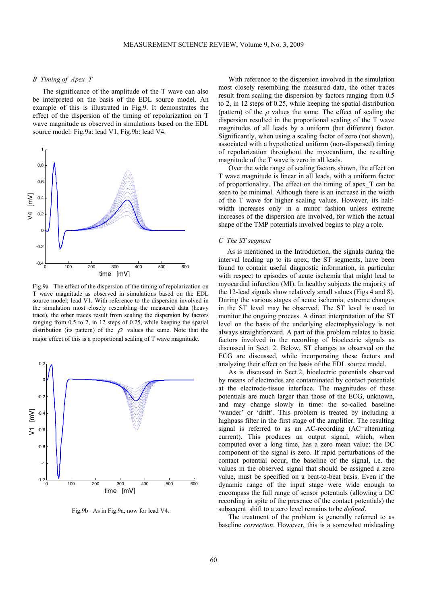# *B Timing of Apex\_T*

The significance of the amplitude of the T wave can also be interpreted on the basis of the EDL source model. An example of this is illustrated in Fig.9. It demonstrates the effect of the dispersion of the timing of repolarization on T wave magnitude as observed in simulations based on the EDL source model: Fig.9a: lead V1, Fig.9b: lead V4.



Fig.9a The effect of the dispersion of the timing of repolarization on T wave magnitude as observed in simulations based on the EDL source model; lead V1. With reference to the dispersion involved in the simulation most closely resembling the measured data (heavy trace), the other traces result from scaling the dispersion by factors ranging from 0.5 to 2, in 12 steps of 0.25, while keeping the spatial distribution (its pattern) of the  $\rho$  values the same. Note that the major effect of this is a proportional scaling of T wave magnitude.



Fig.9b As in Fig.9a, now for lead V4.

With reference to the dispersion involved in the simulation most closely resembling the measured data, the other traces result from scaling the dispersion by factors ranging from 0.5 to 2, in 12 steps of 0.25, while keeping the spatial distribution (pattern) of the  $\rho$  values the same. The effect of scaling the dispersion resulted in the proportional scaling of the T wave magnitudes of all leads by a uniform (but different) factor. Significantly, when using a scaling factor of zero (not shown), associated with a hypothetical uniform (non-dispersed) timing of repolarization throughout the myocardium, the resulting magnitude of the T wave is zero in all leads.

Over the wide range of scaling factors shown, the effect on T wave magnitude is linear in all leads, with a uniform factor of proportionality. The effect on the timing of apex\_T can be seen to be minimal. Although there is an increase in the width of the T wave for higher scaling values. However, its halfwidth increases only in a minor fashion unless extreme increases of the dispersion are involved, for which the actual shape of the TMP potentials involved begins to play a role.

#### *C The ST segment*

 As is mentioned in the Introduction, the signals during the interval leading up to its apex, the ST segments, have been found to contain useful diagnostic information, in particular with respect to episodes of acute ischemia that might lead to myocardial infarction (MI). In healthy subjects the majority of the 12-lead signals show relatively small values (Figs 4 and 8). During the various stages of acute ischemia, extreme changes in the ST level may be observed. The ST level is used to monitor the ongoing process. A direct interpretation of the ST level on the basis of the underlying electrophysiology is not always straightforward. A part of this problem relates to basic factors involved in the recording of bioelectric signals as discussed in Sect. 2. Below, ST changes as observed on the ECG are discussed, while incorporating these factors and analyzing their effect on the basis of the EDL source model.

As is discussed in Sect.2, bioelectric potentials observed by means of electrodes are contaminated by contact potentials at the electrode-tissue interface. The magnitudes of these potentials are much larger than those of the ECG, unknown, and may change slowly in time: the so-called baseline 'wander' or 'drift'. This problem is treated by including a highpass filter in the first stage of the amplifier. The resulting signal is referred to as an AC-recording (AC=alternating current). This produces an output signal, which, when computed over a long time, has a zero mean value: the DC component of the signal is zero. If rapid perturbations of the contact potential occur, the baseline of the signal, i.e. the values in the observed signal that should be assigned a zero value, must be specified on a beat-to-beat basis. Even if the dynamic range of the input stage were wide enough to encompass the full range of sensor potentials (allowing a DC recording in spite of the presence of the contact potentials) the subseqent shift to a zero level remains to be *defined*.

The treatment of the problem is generally referred to as baseline *correction*. However, this is a somewhat misleading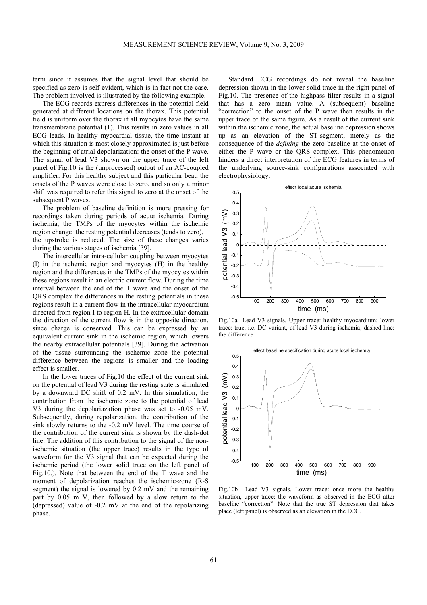term since it assumes that the signal level that should be specified as zero is self-evident, which is in fact not the case. The problem involved is illustrated by the following example.

The ECG records express differences in the potential field generated at different locations on the thorax. This potential field is uniform over the thorax if all myocytes have the same transmembrane potential (1). This results in zero values in all ECG leads. In healthy myocardial tissue, the time instant at which this situation is most closely approximated is just before the beginning of atrial depolarization: the onset of the P wave. The signal of lead V3 shown on the upper trace of the left panel of Fig.10 is the (unprocessed) output of an AC-coupled amplifier. For this healthy subject and this particular beat, the onsets of the P waves were close to zero, and so only a minor shift was required to refer this signal to zero at the onset of the subsequent P waves.

The problem of baseline definition is more pressing for recordings taken during periods of acute ischemia. During ischemia, the TMPs of the myocytes within the ischemic region change: the resting potential decreases (tends to zero), the upstroke is reduced. The size of these changes varies during the various stages of ischemia [39].

The intercellular intra-cellular coupling between myocytes (I) in the ischemic region and myocytes (H) in the healthy region and the differences in the TMPs of the myocytes within these regions result in an electric current flow. During the time interval between the end of the T wave and the onset of the QRS complex the differences in the resting potentials in these regions result in a current flow in the intracellular myocardium directed from region I to region H. In the extracellular domain the direction of the current flow is in the opposite direction, since charge is conserved. This can be expressed by an equivalent current sink in the ischemic region, which lowers the nearby extracellular potentials [39]. During the activation of the tissue surrounding the ischemic zone the potential difference between the regions is smaller and the loading effect is smaller.

In the lower traces of Fig.10 the effect of the current sink on the potential of lead V3 during the resting state is simulated by a downward DC shift of 0.2 mV. In this simulation, the contribution from the ischemic zone to the potential of lead V3 during the depolariazation phase was set to -0.05 mV. Subsequently, during repolarization, the contribution of the sink slowly returns to the -0.2 mV level. The time course of the contribution of the current sink is shown by the dash-dot line. The addition of this contribution to the signal of the nonischemic situation (the upper trace) results in the type of waveform for the V3 signal that can be expected during the ischemic period (the lower solid trace on the left panel of Fig.10.). Note that between the end of the T wave and the moment of depolarization reaches the ischemic-zone (R-S segment) the signal is lowered by 0.2 mV and the remaining part by 0.05 m V, then followed by a slow return to the (depressed) value of -0.2 mV at the end of the repolarizing phase.

Standard ECG recordings do not reveal the baseline depression shown in the lower solid trace in the right panel of Fig.10. The presence of the highpass filter results in a signal that has a zero mean value. A (subsequent) baseline "correction" to the onset of the P wave then results in the upper trace of the same figure. As a result of the current sink within the ischemic zone, the actual baseline depression shows up as an elevation of the ST-segment, merely as the consequence of the *defining* the zero baseline at the onset of either the P wave or the QRS complex. This phenomenon hinders a direct interpretation of the ECG features in terms of the underlying source-sink configurations associated with electrophysiology.



Fig.10a Lead V3 signals. Upper trace: healthy myocardium; lower trace: true, i.e. DC variant, of lead V3 during ischemia; dashed line: the difference.



Fig.10b Lead V3 signals. Lower trace: once more the healthy situation, upper trace: the waveform as observed in the ECG after baseline "correction". Note that the true ST depression that takes place (left panel) is observed as an elevation in the ECG.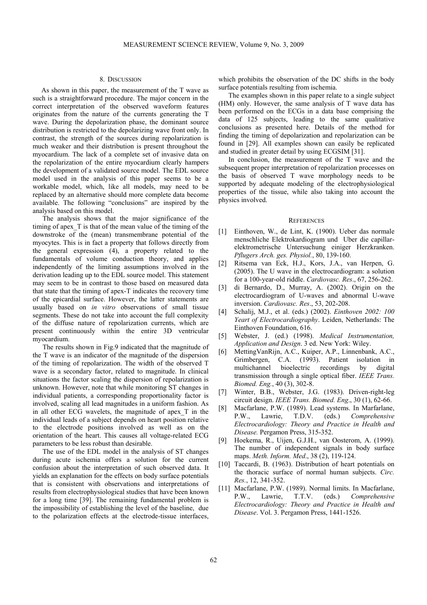#### 8. DISCUSSION

 As shown in this paper, the measurement of the T wave as such is a straightforward procedure. The major concern in the correct interpretation of the observed waveform features originates from the nature of the currents generating the T wave. During the depolarization phase, the dominant source distribution is restricted to the depolarizing wave front only. In contrast, the strength of the sources during repolarization is much weaker and their distribution is present throughout the myocardium. The lack of a complete set of invasive data on the repolarization of the entire myocardium clearly hampers the development of a validated source model. The EDL source model used in the analysis of this paper seems to be a workable model, which, like all models, may need to be replaced by an alternative should more complete data become available. The following "conclusions" are inspired by the analysis based on this model.

The analysis shows that the major significance of the timing of apex\_T is that of the mean value of the timing of the downstroke of the (mean) transmembrane potential of the myocytes. This is in fact a property that follows directly from the general expression (4), a property related to the fundamentals of volume conduction theory, and applies independently of the limiting assumptions involved in the derivation leading up to the EDL source model. This statement may seem to be in contrast to those based on measured data that state that the timing of apex-T indicates the recovery time of the epicardial surface. However, the latter statements are usually based on *in vitro* observations of small tissue segments. These do not take into account the full complexity of the diffuse nature of repolarization currents, which are present continuously within the entire 3D ventricular myocardium.

The results shown in Fig.9 indicated that the magnitude of the T wave is an indicator of the magnitude of the dispersion of the timing of repolarization. The width of the observed T wave is a secondary factor, related to magnitude. In clinical situations the factor scaling the dispersion of repolarization is unknown. However, note that while monitoring ST changes in individual patients, a corresponding proportionality factor is involved, scaling all lead magnitudes in a uniform fashion. As in all other ECG wavelets, the magnitude of apex\_T in the individual leads of a subject depends on heart position relative to the electrode positions involved as well as on the orientation of the heart. This causes all voltage-related ECG parameters to be less robust than desirable.

The use of the EDL model in the analysis of ST changes during acute ischemia offers a solution for the current confusion about the interpretation of such observed data. It yields an explanation for the effects on body surface potentials that is consistent with observations and interpretations of results from electrophysiological studies that have been known for a long time [39]. The remaining fundamental problem is the impossibility of establishing the level of the baseline, due to the polarization effects at the electrode-tissue interfaces, which prohibits the observation of the DC shifts in the body surface potentials resulting from ischemia.

The examples shown in this paper relate to a single subject (HM) only. However, the same analysis of T wave data has been performed on the ECGs in a data base comprising the data of 125 subjects, leading to the same qualitative conclusions as presented here. Details of the method for finding the timing of depolarization and repolarization can be found in [29]. All examples shown can easily be replicated and studied in greater detail by using ECGSIM [31].

In conclusion, the measurement of the T wave and the subsequent proper interpretation of repolarization processes on the basis of observed T wave morphology needs to be supported by adequate modeling of the electrophysiological properties of the tissue, while also taking into account the physics involved.

#### **REFERENCES**

- [1] Einthoven, W., de Lint, K. (1900). Ueber das normale menschliche Elektrokardiogram und Uber die capillarelektrometrische Untersuchung einiger Herzkranken. *Pflugers Arch. ges. Physiol.*, 80, 139-160.
- [2] Ritsema van Eck, H.J., Kors, J.A., van Herpen, G. (2005). The U wave in the electrocardiogram: a solution for a 100-year-old riddle. *Cardiovasc. Res*., 67, 256-262.
- [3] di Bernardo, D., Murray, A. (2002). Origin on the electrocardiogram of U-waves and abnormal U-wave inversion. *Cardiovasc. Res*., 53, 202-208.
- [4] Schalij, M.J., et al. (eds.) (2002). *Einthoven 2002: 100 Yeart of Electrocardiography*. Leiden, Netherlands: The Einthoven Foundation, 616.
- [5] Webster, J. (ed.) (1998). *Medical Instrumentation, Application and Design*. 3 ed. New York: Wiley.
- [6] MettingVanRijn, A.C., Kuiper, A.P., Linnenbank, A.C., Grimbergen, C.A. (1993). Patient isolation in multichannel bioelectric recordings by digital transmission through a single optical fiber. *IEEE Trans. Biomed. Eng.*, 40 (3), 302-8.
- [7] Winter, B.B., Webster, J.G. (1983). Driven-right-leg circuit design. *IEEE Trans. Biomed. Eng*., 30 (1), 62-66.
- [8] Macfarlane, P.W. (1989). Lead systems. In Marfarlane, P.W., Lawrie, T.D.V. (eds.) *Comprehensive Electrocardiology: Theory and Practice in Health and Disease.* Pergamon Press, 315-352.
- [9] Hoekema, R., Uijen, G.J.H., van Oosterom, A. (1999). The number of independent signals in body surface maps. *Meth. Inform. Med*., 38 (2), 119-124.
- [10] Taccardi, B. (1963). Distribution of heart potentials on the thoracic surface of normal human subjects. *Circ. Res.*, 12, 341-352.
- [11] Macfarlane, P.W. (1989). Normal limits. In Macfarlane, P.W., Lawrie, T.T.V. (eds.) *Comprehensive Electrocardiology: Theory and Practice in Health and Disease*. Vol. 3. Pergamon Press, 1441-1526.